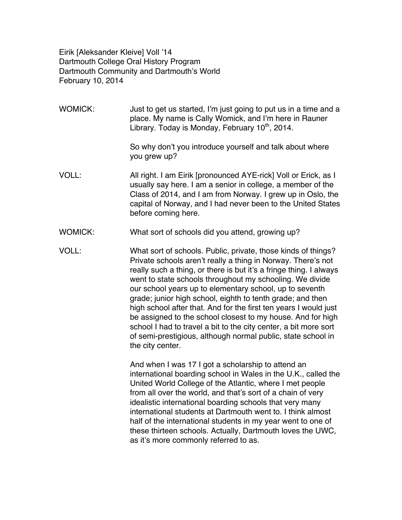Eirik [Aleksander Kleive] Voll '14 Dartmouth College Oral History Program Dartmouth Community and Dartmouth's World February 10, 2014

- WOMICK: Just to get us started, I'm just going to put us in a time and a place. My name is Cally Womick, and I'm here in Rauner Library. Today is Monday, February  $10<sup>th</sup>$ , 2014. So why don't you introduce yourself and talk about where you grew up? VOLL: All right. I am Eirik [pronounced AYE-rick] Voll or Erick, as I usually say here. I am a senior in college, a member of the Class of 2014, and I am from Norway. I grew up in Oslo, the capital of Norway, and I had never been to the United States before coming here.
- WOMICK: What sort of schools did you attend, growing up?
- VOLL: What sort of schools. Public, private, those kinds of things? Private schools aren't really a thing in Norway. There's not really such a thing, or there is but it's a fringe thing. I always went to state schools throughout my schooling. We divide our school years up to elementary school, up to seventh grade; junior high school, eighth to tenth grade; and then high school after that. And for the first ten years I would just be assigned to the school closest to my house. And for high school I had to travel a bit to the city center, a bit more sort of semi-prestigious, although normal public, state school in the city center.

And when I was 17 I got a scholarship to attend an international boarding school in Wales in the U.K., called the United World College of the Atlantic, where I met people from all over the world, and that's sort of a chain of very idealistic international boarding schools that very many international students at Dartmouth went to. I think almost half of the international students in my year went to one of these thirteen schools. Actually, Dartmouth loves the UWC, as it's more commonly referred to as.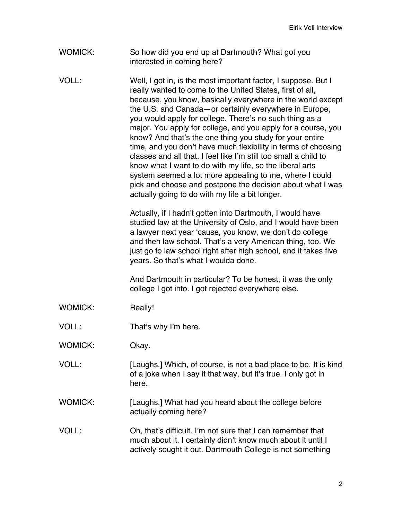Eirik Voll Interview

- WOMICK: So how did you end up at Dartmouth? What got you interested in coming here?
- VOLL: Well, I got in, is the most important factor, I suppose. But I really wanted to come to the United States, first of all, because, you know, basically everywhere in the world except the U.S. and Canada—or certainly everywhere in Europe, you would apply for college. There's no such thing as a major. You apply for college, and you apply for a course, you know? And that's the one thing you study for your entire time, and you don't have much flexibility in terms of choosing classes and all that. I feel like I'm still too small a child to know what I want to do with my life, so the liberal arts system seemed a lot more appealing to me, where I could pick and choose and postpone the decision about what I was actually going to do with my life a bit longer.

Actually, if I hadn't gotten into Dartmouth, I would have studied law at the University of Oslo, and I would have been a lawyer next year 'cause, you know, we don't do college and then law school. That's a very American thing, too. We just go to law school right after high school, and it takes five years. So that's what I woulda done.

And Dartmouth in particular? To be honest, it was the only college I got into. I got rejected everywhere else.

- WOMICK: Really!
- VOLL: That's why I'm here.
- WOMICK: Okay.
- VOLL: [Laughs.] Which, of course, is not a bad place to be. It is kind of a joke when I say it that way, but it's true. I only got in here.
- WOMICK: [Laughs.] What had you heard about the college before actually coming here?
- VOLL: Oh, that's difficult. I'm not sure that I can remember that much about it. I certainly didn't know much about it until I actively sought it out. Dartmouth College is not something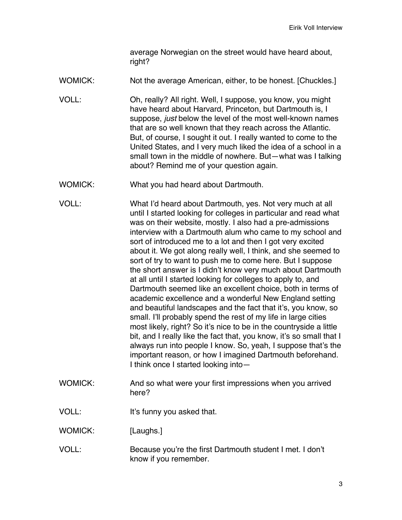average Norwegian on the street would have heard about, right?

- WOMICK: Not the average American, either, to be honest. [Chuckles.]
- VOLL: Oh, really? All right. Well, I suppose, you know, you might have heard about Harvard, Princeton, but Dartmouth is, I suppose, *just* below the level of the most well-known names that are so well known that they reach across the Atlantic. But, of course, I sought it out. I really wanted to come to the United States, and I very much liked the idea of a school in a small town in the middle of nowhere. But—what was I talking about? Remind me of your question again.
- WOMICK: What you had heard about Dartmouth.
- VOLL: What I'd heard about Dartmouth, yes. Not very much at all until I started looking for colleges in particular and read what was on their website, mostly. I also had a pre-admissions interview with a Dartmouth alum who came to my school and sort of introduced me to a lot and then I got very excited about it. We got along really well, I think, and she seemed to sort of try to want to push me to come here. But I suppose the short answer is I didn't know very much about Dartmouth at all until I started looking for colleges to apply to, and Dartmouth seemed like an excellent choice, both in terms of academic excellence and a wonderful New England setting and beautiful landscapes and the fact that it's, you know, so small. I'll probably spend the rest of my life in large cities most likely, right? So it's nice to be in the countryside a little bit, and I really like the fact that, you know, it's so small that I always run into people I know. So, yeah, I suppose that's the important reason, or how I imagined Dartmouth beforehand. I think once I started looking into—
- WOMICK: And so what were your first impressions when you arrived here?
- VOLL: It's funny you asked that.
- WOMICK: [Laughs.]
- VOLL: Because you're the first Dartmouth student I met. I don't know if you remember.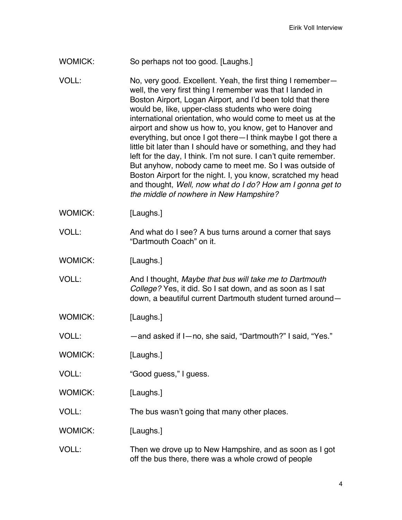- WOMICK: So perhaps not too good. [Laughs.]
- VOLL: No, very good. Excellent. Yeah, the first thing I remember well, the very first thing I remember was that I landed in Boston Airport, Logan Airport, and I'd been told that there would be, like, upper-class students who were doing international orientation, who would come to meet us at the airport and show us how to, you know, get to Hanover and everything, but once I got there—I think maybe I got there a little bit later than I should have or something, and they had left for the day, I think. I'm not sure. I can't quite remember. But anyhow, nobody came to meet me. So I was outside of Boston Airport for the night. I, you know, scratched my head and thought, *Well, now what do I do? How am I gonna get to the middle of nowhere in New Hampshire?*
- WOMICK: [Laughs.]
- VOLL: And what do I see? A bus turns around a corner that says "Dartmouth Coach" on it.
- WOMICK: [Laughs.]
- VOLL: And I thought, *Maybe that bus will take me to Dartmouth College?* Yes, it did. So I sat down, and as soon as I sat down, a beautiful current Dartmouth student turned around—
- WOMICK: [Laughs.]
- VOLL: —and asked if I—no, she said, "Dartmouth?" I said, "Yes."
- WOMICK: [Laughs.]
- VOLL: "Good guess," I guess.
- WOMICK: [Laughs.]
- VOLL: The bus wasn't going that many other places.
- WOMICK: [Laughs.]
- VOLL: Then we drove up to New Hampshire, and as soon as I got off the bus there, there was a whole crowd of people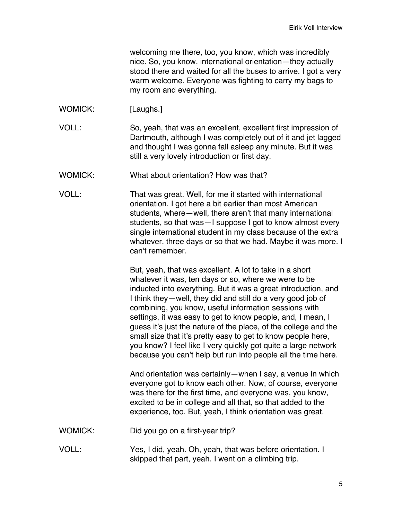welcoming me there, too, you know, which was incredibly nice. So, you know, international orientation—they actually stood there and waited for all the buses to arrive. I got a very warm welcome. Everyone was fighting to carry my bags to my room and everything.

- WOMICK: [Laughs.]
- VOLL: So, yeah, that was an excellent, excellent first impression of Dartmouth, although I was completely out of it and jet lagged and thought I was gonna fall asleep any minute. But it was still a very lovely introduction or first day.
- WOMICK: What about orientation? How was that?
- VOLL: That was great. Well, for me it started with international orientation. I got here a bit earlier than most American students, where—well, there aren't that many international students, so that was—I suppose I got to know almost every single international student in my class because of the extra whatever, three days or so that we had. Maybe it was more. I can't remember.

But, yeah, that was excellent. A lot to take in a short whatever it was, ten days or so, where we were to be inducted into everything. But it was a great introduction, and I think they—well, they did and still do a very good job of combining, you know, useful information sessions with settings, it was easy to get to know people, and, I mean, I guess it's just the nature of the place, of the college and the small size that it's pretty easy to get to know people here, you know? I feel like I very quickly got quite a large network because you can't help but run into people all the time here.

And orientation was certainly—when I say, a venue in which everyone got to know each other. Now, of course, everyone was there for the first time, and everyone was, you know, excited to be in college and all that, so that added to the experience, too. But, yeah, I think orientation was great.

- WOMICK: Did you go on a first-year trip?
- VOLL: Yes, I did, yeah. Oh, yeah, that was before orientation. I skipped that part, yeah. I went on a climbing trip.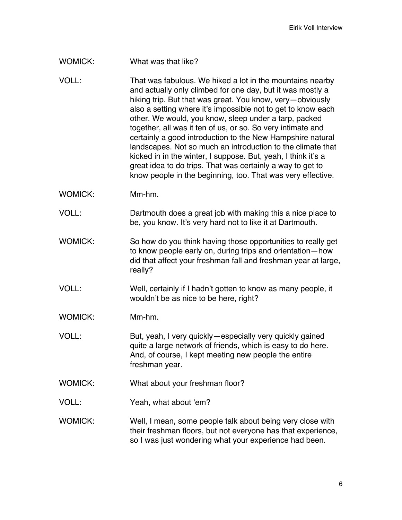## WOMICK: What was that like?

- VOLL: That was fabulous. We hiked a lot in the mountains nearby and actually only climbed for one day, but it was mostly a hiking trip. But that was great. You know, very—obviously also a setting where it's impossible not to get to know each other. We would, you know, sleep under a tarp, packed together, all was it ten of us, or so. So very intimate and certainly a good introduction to the New Hampshire natural landscapes. Not so much an introduction to the climate that kicked in in the winter, I suppose. But, yeah, I think it's a great idea to do trips. That was certainly a way to get to know people in the beginning, too. That was very effective.
- WOMICK: Mm-hm.
- VOLL: Dartmouth does a great job with making this a nice place to be, you know. It's very hard not to like it at Dartmouth.
- WOMICK: So how do you think having those opportunities to really get to know people early on, during trips and orientation—how did that affect your freshman fall and freshman year at large, really?
- VOLL: Well, certainly if I hadn't gotten to know as many people, it wouldn't be as nice to be here, right?
- WOMICK: Mm-hm.
- VOLL: But, yeah, I very quickly—especially very quickly gained quite a large network of friends, which is easy to do here. And, of course, I kept meeting new people the entire freshman year.
- WOMICK: What about your freshman floor?
- VOLL: Yeah, what about 'em?
- WOMICK: Well, I mean, some people talk about being very close with their freshman floors, but not everyone has that experience, so I was just wondering what your experience had been.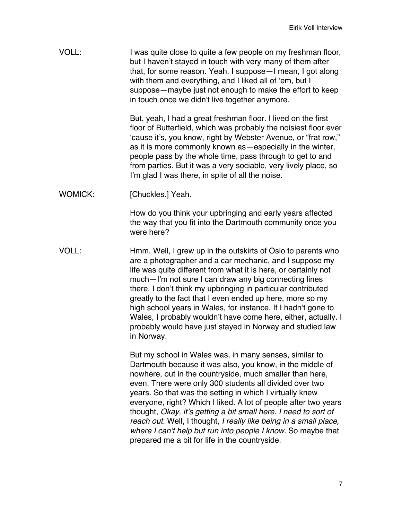VOLL: I was quite close to quite a few people on my freshman floor, but I haven't stayed in touch with very many of them after that, for some reason. Yeah. I suppose—I mean, I got along with them and everything, and I liked all of 'em, but I suppose—maybe just not enough to make the effort to keep in touch once we didn't live together anymore.

> But, yeah, I had a great freshman floor. I lived on the first floor of Butterfield, which was probably the noisiest floor ever 'cause it's, you know, right by Webster Avenue, or "frat row," as it is more commonly known as—especially in the winter, people pass by the whole time, pass through to get to and from parties. But it was a very sociable, very lively place, so I'm glad I was there, in spite of all the noise.

WOMICK: [Chuckles.] Yeah.

How do you think your upbringing and early years affected the way that you fit into the Dartmouth community once you were here?

VOLL: Hmm. Well, I grew up in the outskirts of Oslo to parents who are a photographer and a car mechanic, and I suppose my life was quite different from what it is here, or certainly not much—I'm not sure I can draw any big connecting lines there. I don't think my upbringing in particular contributed greatly to the fact that I even ended up here, more so my high school years in Wales, for instance. If I hadn't gone to Wales, I probably wouldn't have come here, either, actually. I probably would have just stayed in Norway and studied law in Norway.

> But my school in Wales was, in many senses, similar to Dartmouth because it was also, you know, in the middle of nowhere, out in the countryside, much smaller than here, even. There were only 300 students all divided over two years. So that was the setting in which I virtually knew everyone, right? Which I liked. A lot of people after two years thought, *Okay, it's getting a bit small here. I need to sort of reach out.* Well, I thought, *I really like being in a small place, where I can't help but run into people I know.* So maybe that prepared me a bit for life in the countryside.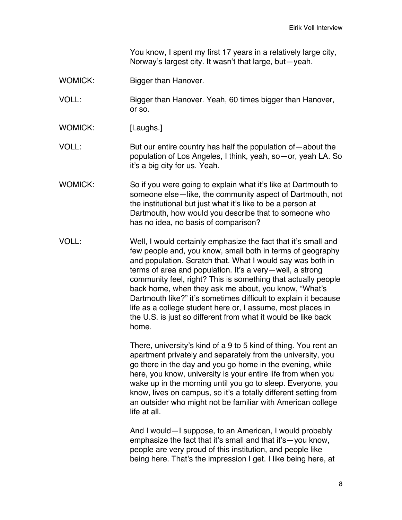You know, I spent my first 17 years in a relatively large city, Norway's largest city. It wasn't that large, but—yeah.

- WOMICK: Bigger than Hanover.
- VOLL: Bigger than Hanover. Yeah, 60 times bigger than Hanover, or so.
- WOMICK: [Laughs.]
- VOLL: But our entire country has half the population of—about the population of Los Angeles, I think, yeah, so—or, yeah LA. So it's a big city for us. Yeah.
- WOMICK: So if you were going to explain what it's like at Dartmouth to someone else—like, the community aspect of Dartmouth, not the institutional but just what it's like to be a person at Dartmouth, how would you describe that to someone who has no idea, no basis of comparison?
- VOLL: Well, I would certainly emphasize the fact that it's small and few people and, you know, small both in terms of geography and population. Scratch that. What I would say was both in terms of area and population. It's a very—well, a strong community feel, right? This is something that actually people back home, when they ask me about, you know, "What's Dartmouth like?" it's sometimes difficult to explain it because life as a college student here or, I assume, most places in the U.S. is just so different from what it would be like back home.

There, university's kind of a 9 to 5 kind of thing. You rent an apartment privately and separately from the university, you go there in the day and you go home in the evening, while here, you know, university is your entire life from when you wake up in the morning until you go to sleep. Everyone, you know, lives on campus, so it's a totally different setting from an outsider who might not be familiar with American college life at all.

And I would—I suppose, to an American, I would probably emphasize the fact that it's small and that it's—you know, people are very proud of this institution, and people like being here. That's the impression I get. I like being here, at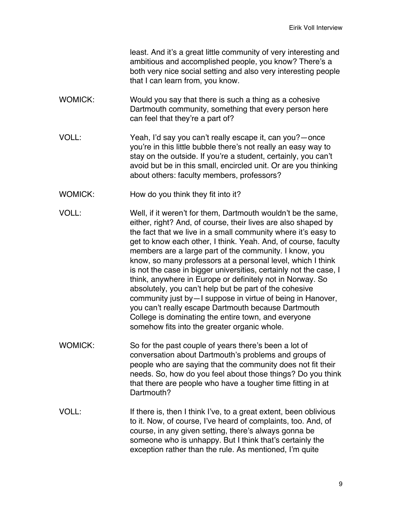least. And it's a great little community of very interesting and ambitious and accomplished people, you know? There's a both very nice social setting and also very interesting people that I can learn from, you know.

- WOMICK: Would you say that there is such a thing as a cohesive Dartmouth community, something that every person here can feel that they're a part of?
- VOLL: Yeah, I'd say you can't really escape it, can you?—once you're in this little bubble there's not really an easy way to stay on the outside. If you're a student, certainly, you can't avoid but be in this small, encircled unit. Or are you thinking about others: faculty members, professors?
- WOMICK: How do you think they fit into it?
- VOLL: Well, if it weren't for them, Dartmouth wouldn't be the same, either, right? And, of course, their lives are also shaped by the fact that we live in a small community where it's easy to get to know each other, I think. Yeah. And, of course, faculty members are a large part of the community. I know, you know, so many professors at a personal level, which I think is not the case in bigger universities, certainly not the case, I think, anywhere in Europe or definitely not in Norway. So absolutely, you can't help but be part of the cohesive community just by—I suppose in virtue of being in Hanover, you can't really escape Dartmouth because Dartmouth College is dominating the entire town, and everyone somehow fits into the greater organic whole.
- WOMICK: So for the past couple of years there's been a lot of conversation about Dartmouth's problems and groups of people who are saying that the community does not fit their needs. So, how do you feel about those things? Do you think that there are people who have a tougher time fitting in at Dartmouth?
- VOLL: If there is, then I think I've, to a great extent, been oblivious to it. Now, of course, I've heard of complaints, too. And, of course, in any given setting, there's always gonna be someone who is unhappy. But I think that's certainly the exception rather than the rule. As mentioned, I'm quite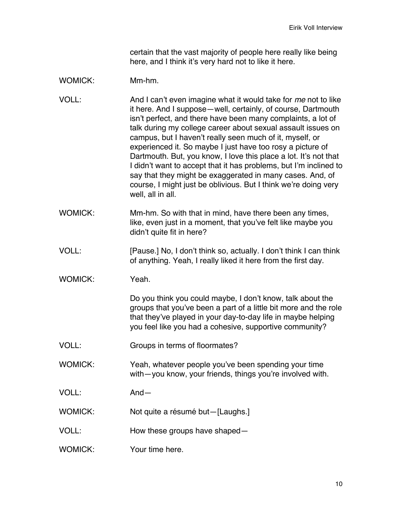certain that the vast majority of people here really like being here, and I think it's very hard not to like it here.

## WOMICK: Mm-hm.

- VOLL: And I can't even imagine what it would take for *me* not to like it here. And I suppose—well, certainly, of course, Dartmouth isn't perfect, and there have been many complaints, a lot of talk during my college career about sexual assault issues on campus, but I haven't really seen much of it, myself, or experienced it. So maybe I just have too rosy a picture of Dartmouth. But, you know, I love this place a lot. It's not that I didn't want to accept that it has problems, but I'm inclined to say that they might be exaggerated in many cases. And, of course, I might just be oblivious. But I think we're doing very well, all in all.
- WOMICK: Mm-hm. So with that in mind, have there been any times, like, even just in a moment, that you've felt like maybe you didn't quite fit in here?
- VOLL: [Pause.] No, I don't think so, actually. I don't think I can think of anything. Yeah, I really liked it here from the first day.
- WOMICK: Yeah.

Do you think you could maybe, I don't know, talk about the groups that you've been a part of a little bit more and the role that they've played in your day-to-day life in maybe helping you feel like you had a cohesive, supportive community?

- VOLL: Groups in terms of floormates?
- WOMICK: Yeah, whatever people you've been spending your time with—you know, your friends, things you're involved with.
- VOLL: And—
- WOMICK: Not quite a résumé but—[Laughs.]
- VOLL: How these groups have shaped—
- WOMICK: Your time here.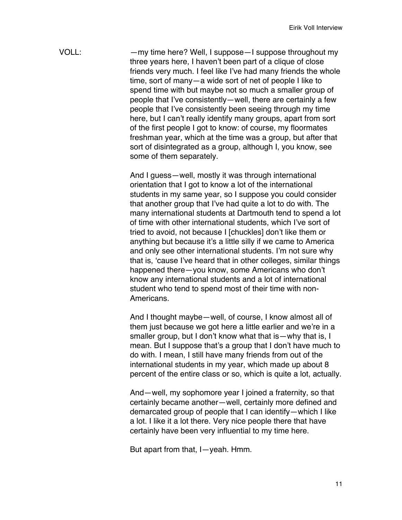VOLL: —my time here? Well, I suppose—I suppose throughout my three years here, I haven't been part of a clique of close friends very much. I feel like I've had many friends the whole time, sort of many—a wide sort of net of people I like to spend time with but maybe not so much a smaller group of people that I've consistently—well, there are certainly a few people that I've consistently been seeing through my time here, but I can't really identify many groups, apart from sort of the first people I got to know: of course, my floormates freshman year, which at the time was a group, but after that sort of disintegrated as a group, although I, you know, see some of them separately.

> And I guess—well, mostly it was through international orientation that I got to know a lot of the international students in my same year, so I suppose you could consider that another group that I've had quite a lot to do with. The many international students at Dartmouth tend to spend a lot of time with other international students, which I've sort of tried to avoid, not because I [chuckles] don't like them or anything but because it's a little silly if we came to America and only see other international students. I'm not sure why that is, 'cause I've heard that in other colleges, similar things happened there—you know, some Americans who don't know any international students and a lot of international student who tend to spend most of their time with non-Americans.

> And I thought maybe—well, of course, I know almost all of them just because we got here a little earlier and we're in a smaller group, but I don't know what that is—why that is, I mean. But I suppose that's a group that I don't have much to do with. I mean, I still have many friends from out of the international students in my year, which made up about 8 percent of the entire class or so, which is quite a lot, actually.

And—well, my sophomore year I joined a fraternity, so that certainly became another—well, certainly more defined and demarcated group of people that I can identify—which I like a lot. I like it a lot there. Very nice people there that have certainly have been very influential to my time here.

But apart from that, I—yeah. Hmm.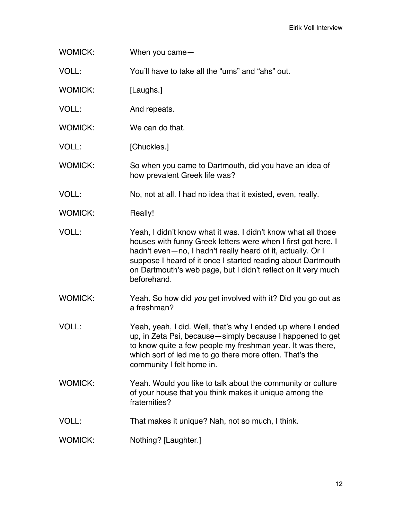WOMICK: When you came—

VOLL: You'll have to take all the "ums" and "ahs" out.

WOMICK: [Laughs.]

- VOLL: And repeats.
- WOMICK: We can do that.
- VOLL: [Chuckles.]

WOMICK: So when you came to Dartmouth, did you have an idea of how prevalent Greek life was?

- VOLL: No, not at all. I had no idea that it existed, even, really.
- WOMICK: Really!
- VOLL: Yeah, I didn't know what it was. I didn't know what all those houses with funny Greek letters were when I first got here. I hadn't even—no, I hadn't really heard of it, actually. Or I suppose I heard of it once I started reading about Dartmouth on Dartmouth's web page, but I didn't reflect on it very much beforehand.
- WOMICK: Yeah. So how did *you* get involved with it? Did you go out as a freshman?
- VOLL: Yeah, yeah, I did. Well, that's why I ended up where I ended up, in Zeta Psi, because—simply because I happened to get to know quite a few people my freshman year. It was there, which sort of led me to go there more often. That's the community I felt home in.
- WOMICK: Yeah. Would you like to talk about the community or culture of your house that you think makes it unique among the fraternities?
- VOLL: That makes it unique? Nah, not so much, I think.
- WOMICK: Nothing? [Laughter.]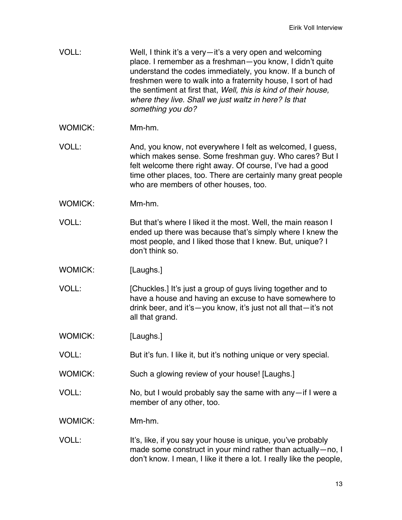- VOLL: Well, I think it's a very—it's a very open and welcoming place. I remember as a freshman—you know, I didn't quite understand the codes immediately, you know. If a bunch of freshmen were to walk into a fraternity house, I sort of had the sentiment at first that, *Well, this is kind of their house, where they live. Shall we just waltz in here? Is that something you do?*
- WOMICK: Mm-hm.
- VOLL: And, you know, not everywhere I felt as welcomed, I guess, which makes sense. Some freshman guy. Who cares? But I felt welcome there right away. Of course, I've had a good time other places, too. There are certainly many great people who are members of other houses, too.
- WOMICK: Mm-hm.
- VOLL: But that's where I liked it the most. Well, the main reason I ended up there was because that's simply where I knew the most people, and I liked those that I knew. But, unique? I don't think so.
- WOMICK: [Laughs.]
- VOLL: [Chuckles.] It's just a group of guys living together and to have a house and having an excuse to have somewhere to drink beer, and it's—you know, it's just not all that—it's not all that grand.
- WOMICK: [Laughs.]
- VOLL: But it's fun. I like it, but it's nothing unique or very special.
- WOMICK: Such a glowing review of your house! [Laughs.]
- VOLL: No, but I would probably say the same with any—if I were a member of any other, too.
- WOMICK: Mm-hm.
- VOLL: It's, like, if you say your house is unique, you've probably made some construct in your mind rather than actually—no, I don't know. I mean, I like it there a lot. I really like the people,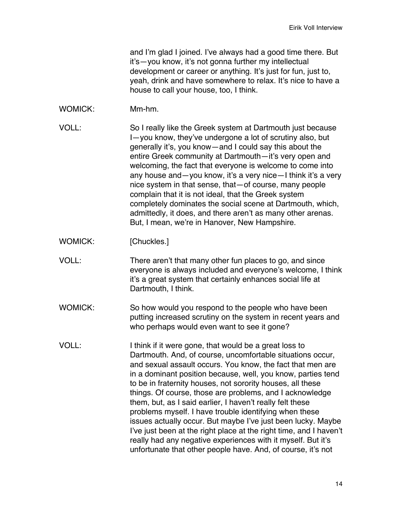and I'm glad I joined. I've always had a good time there. But it's—you know, it's not gonna further my intellectual development or career or anything. It's just for fun, just to, yeah, drink and have somewhere to relax. It's nice to have a house to call your house, too, I think.

- WOMICK: Mm-hm.
- VOLL: So I really like the Greek system at Dartmouth just because I—you know, they've undergone a lot of scrutiny also, but generally it's, you know—and I could say this about the entire Greek community at Dartmouth—it's very open and welcoming, the fact that everyone is welcome to come into any house and—you know, it's a very nice—I think it's a very nice system in that sense, that—of course, many people complain that it is not ideal, that the Greek system completely dominates the social scene at Dartmouth, which, admittedly, it does, and there aren't as many other arenas. But, I mean, we're in Hanover, New Hampshire.
- WOMICK: [Chuckles.]
- VOLL: There aren't that many other fun places to go, and since everyone is always included and everyone's welcome, I think it's a great system that certainly enhances social life at Dartmouth, I think.
- WOMICK: So how would you respond to the people who have been putting increased scrutiny on the system in recent years and who perhaps would even want to see it gone?
- VOLL: I think if it were gone, that would be a great loss to Dartmouth. And, of course, uncomfortable situations occur, and sexual assault occurs. You know, the fact that men are in a dominant position because, well, you know, parties tend to be in fraternity houses, not sorority houses, all these things. Of course, those are problems, and I acknowledge them, but, as I said earlier, I haven't really felt these problems myself. I have trouble identifying when these issues actually occur. But maybe I've just been lucky. Maybe I've just been at the right place at the right time, and I haven't really had any negative experiences with it myself. But it's unfortunate that other people have. And, of course, it's not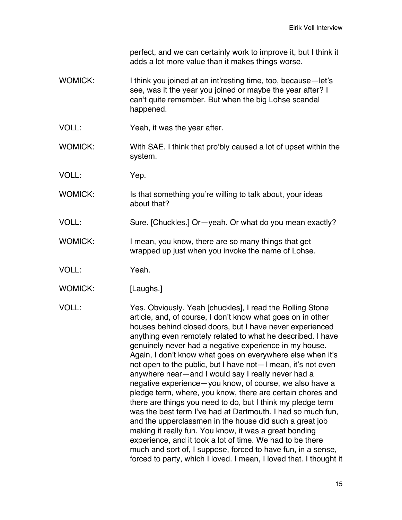perfect, and we can certainly work to improve it, but I think it adds a lot more value than it makes things worse.

- WOMICK: I think you joined at an int'resting time, too, because-let's see, was it the year you joined or maybe the year after? I can't quite remember. But when the big Lohse scandal happened.
- VOLL: Yeah, it was the year after.
- WOMICK: With SAE. I think that pro'bly caused a lot of upset within the system.
- VOLL: Yep.
- WOMICK: Is that something you're willing to talk about, your ideas about that?
- VOLL: Sure. [Chuckles.] Or—yeah. Or what do you mean exactly?
- WOMICK: I mean, you know, there are so many things that get wrapped up just when you invoke the name of Lohse.
- VOLL: Yeah.
- WOMICK: [Laughs.]

VOLL: Yes. Obviously. Yeah [chuckles], I read the Rolling Stone article, and, of course, I don't know what goes on in other houses behind closed doors, but I have never experienced anything even remotely related to what he described. I have genuinely never had a negative experience in my house. Again, I don't know what goes on everywhere else when it's not open to the public, but I have not—I mean, it's not even anywhere near—and I would say I really never had a negative experience—you know, of course, we also have a pledge term, where, you know, there are certain chores and there are things you need to do, but I think my pledge term was the best term I've had at Dartmouth. I had so much fun, and the upperclassmen in the house did such a great job making it really fun. You know, it was a great bonding experience, and it took a lot of time. We had to be there much and sort of, I suppose, forced to have fun, in a sense, forced to party, which I loved. I mean, I loved that. I thought it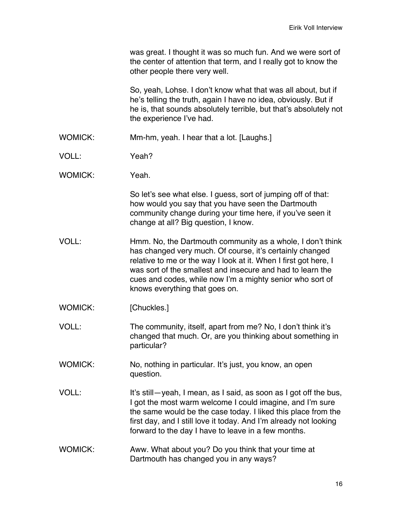| was great. I thought it was so much fun. And we were sort of    |
|-----------------------------------------------------------------|
| the center of attention that term, and I really got to know the |
| other people there very well.                                   |

So, yeah, Lohse. I don't know what that was all about, but if he's telling the truth, again I have no idea, obviously. But if he is, that sounds absolutely terrible, but that's absolutely not the experience I've had.

- WOMICK: Mm-hm, yeah. I hear that a lot. [Laughs.]
- VOLL: Yeah?
- WOMICK: Yeah

So let's see what else. I guess, sort of jumping off of that: how would you say that you have seen the Dartmouth community change during your time here, if you've seen it change at all? Big question, I know.

- VOLL: Hmm. No, the Dartmouth community as a whole, I don't think has changed very much. Of course, it's certainly changed relative to me or the way I look at it. When I first got here, I was sort of the smallest and insecure and had to learn the cues and codes, while now I'm a mighty senior who sort of knows everything that goes on.
- WOMICK: [Chuckles.]
- VOLL: The community, itself, apart from me? No, I don't think it's changed that much. Or, are you thinking about something in particular?
- WOMICK: No, nothing in particular. It's just, you know, an open question.
- VOLL: It's still—yeah, I mean, as I said, as soon as I got off the bus, I got the most warm welcome I could imagine, and I'm sure the same would be the case today. I liked this place from the first day, and I still love it today. And I'm already not looking forward to the day I have to leave in a few months.
- WOMICK: Aww. What about you? Do you think that your time at Dartmouth has changed you in any ways?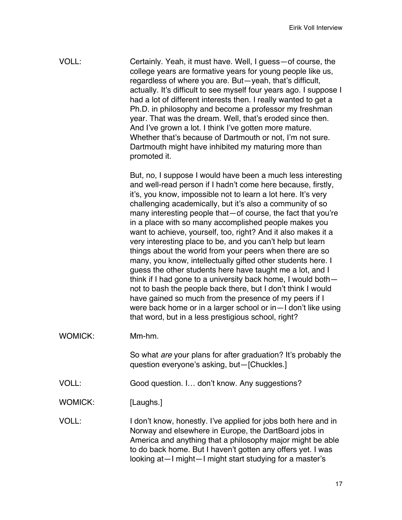VOLL: Certainly. Yeah, it must have. Well, I guess—of course, the college years are formative years for young people like us, regardless of where you are. But—yeah, that's difficult, actually. It's difficult to see myself four years ago. I suppose I had a lot of different interests then. I really wanted to get a Ph.D. in philosophy and become a professor my freshman year. That was the dream. Well, that's eroded since then. And I've grown a lot. I think I've gotten more mature. Whether that's because of Dartmouth or not, I'm not sure. Dartmouth might have inhibited my maturing more than promoted it.

> But, no, I suppose I would have been a much less interesting and well-read person if I hadn't come here because, firstly, it's, you know, impossible not to learn a lot here. It's very challenging academically, but it's also a community of so many interesting people that—of course, the fact that you're in a place with so many accomplished people makes you want to achieve, yourself, too, right? And it also makes it a very interesting place to be, and you can't help but learn things about the world from your peers when there are so many, you know, intellectually gifted other students here. I guess the other students here have taught me a lot, and I think if I had gone to a university back home, I would both not to bash the people back there, but I don't think I would have gained so much from the presence of my peers if I were back home or in a larger school or in—I don't like using that word, but in a less prestigious school, right?

WOMICK: Mm-hm.

So what *are* your plans for after graduation? It's probably the question everyone's asking, but—[Chuckles.]

VOLL: Good question. I… don't know. Any suggestions?

WOMICK: [Laughs.]

VOLL: I don't know, honestly. I've applied for jobs both here and in Norway and elsewhere in Europe, the DartBoard jobs in America and anything that a philosophy major might be able to do back home. But I haven't gotten any offers yet. I was looking at—I might—I might start studying for a master's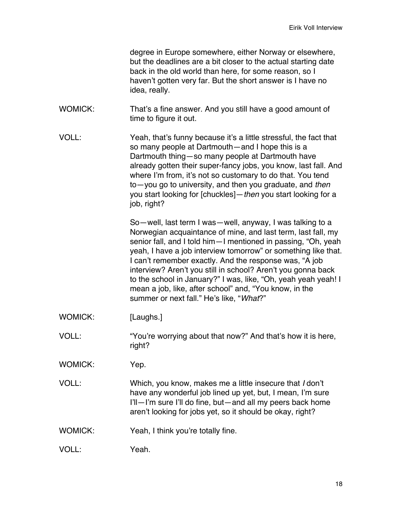| degree in Europe somewhere, either Norway or elsewhere,        |
|----------------------------------------------------------------|
| but the deadlines are a bit closer to the actual starting date |
| back in the old world than here, for some reason, so I         |
| haven't gotten very far. But the short answer is I have no     |
| idea, really.                                                  |

- WOMICK: That's a fine answer. And you still have a good amount of time to figure it out.
- VOLL: Yeah, that's funny because it's a little stressful, the fact that so many people at Dartmouth—and I hope this is a Dartmouth thing—so many people at Dartmouth have already gotten their super-fancy jobs, you know, last fall. And where I'm from, it's not so customary to do that. You tend to—you go to university, and then you graduate, and *then* you start looking for [chuckles]—*then* you start looking for a job, right?

So—well, last term I was—well, anyway, I was talking to a Norwegian acquaintance of mine, and last term, last fall, my senior fall, and I told him—I mentioned in passing, "Oh, yeah yeah, I have a job interview tomorrow" or something like that. I can't remember exactly. And the response was, "A job interview? Aren't you still in school? Aren't you gonna back to the school in January?" I was, like, "Oh, yeah yeah yeah! I mean a job, like, after school" and, "You know, in the summer or next fall." He's like, "*What*?"

- WOMICK: [Laughs.]
- VOLL: "You're worrying about that now?" And that's how it is here, right?
- WOMICK: Yep.
- VOLL: Which, you know, makes me a little insecure that *I* don't have any wonderful job lined up yet, but, I mean, I'm sure I'll—I'm sure I'll do fine, but—and all my peers back home aren't looking for jobs yet, so it should be okay, right?
- WOMICK: Yeah, I think you're totally fine.
- VOLL: Yeah.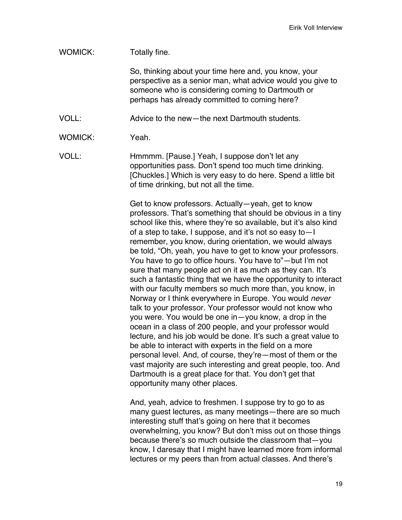## WOMICK: Totally fine. So, thinking about your time here and, you know, your perspective as a senior man, what advice would you give to someone who is considering coming to Dartmouth or perhaps has already committed to coming here? VOLL: Advice to the new—the next Dartmouth students. WOMICK: Yeah VOLL: Hmmmm. [Pause.] Yeah, I suppose don't let any opportunities pass. Don't spend too much time drinking. [Chuckles.] Which is very easy to do here. Spend a little bit of time drinking, but not all the time. Get to know professors. Actually—yeah, get to know professors. That's something that should be obvious in a tiny school like this, where they're so available, but it's also kind of a step to take, I suppose, and it's not so easy to—I remember, you know, during orientation, we would always be told, "Oh, yeah, you have to get to know your professors. You have to go to office hours. You have to"—but I'm not sure that many people act on it as much as they can. It's such a fantastic thing that we have the opportunity to interact with our faculty members so much more than, you know, in Norway or I think everywhere in Europe. You would *never* talk to your professor. Your professor would not know who you were. You would be one in—you know, a drop in the ocean in a class of 200 people, and your professor would lecture, and his job would be done. It's such a great value to be able to interact with experts in the field on a more personal level. And, of course, they're—most of them or the vast majority are such interesting and great people, too. And

And, yeah, advice to freshmen. I suppose try to go to as many guest lectures, as many meetings—there are so much interesting stuff that's going on here that it becomes overwhelming, you know? But don't miss out on those things because there's so much outside the classroom that—you know, I daresay that I might have learned more from informal lectures or my peers than from actual classes. And there's

Dartmouth is a great place for that. You don't get that

opportunity many other places.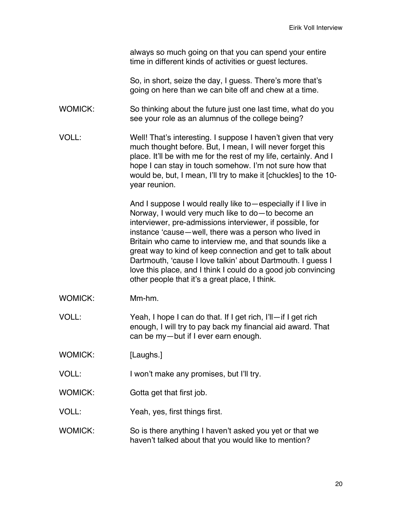always so much going on that you can spend your entire time in different kinds of activities or guest lectures.

So, in short, seize the day, I guess. There's more that's going on here than we can bite off and chew at a time.

WOMICK: So thinking about the future just one last time, what do you see your role as an alumnus of the college being?

VOLL: Well! That's interesting. I suppose I haven't given that very much thought before. But, I mean, I will never forget this place. It'll be with me for the rest of my life, certainly. And I hope I can stay in touch somehow. I'm not sure how that would be, but, I mean, I'll try to make it [chuckles] to the 10 year reunion.

> And I suppose I would really like to—especially if I live in Norway, I would very much like to do—to become an interviewer, pre-admissions interviewer, if possible, for instance 'cause—well, there was a person who lived in Britain who came to interview me, and that sounds like a great way to kind of keep connection and get to talk about Dartmouth, 'cause I love talkin' about Dartmouth. I guess I love this place, and I think I could do a good job convincing other people that it's a great place, I think.

- WOMICK: Mm-hm.
- VOLL: Yeah, I hope I can do that. If I get rich, I'll—if I get rich enough, I will try to pay back my financial aid award. That can be my—but if I ever earn enough.
- WOMICK: [Laughs.]
- VOLL: I won't make any promises, but I'll try.
- WOMICK: Gotta get that first job.
- VOLL: Yeah, yes, first things first.
- WOMICK: So is there anything I haven't asked you yet or that we haven't talked about that you would like to mention?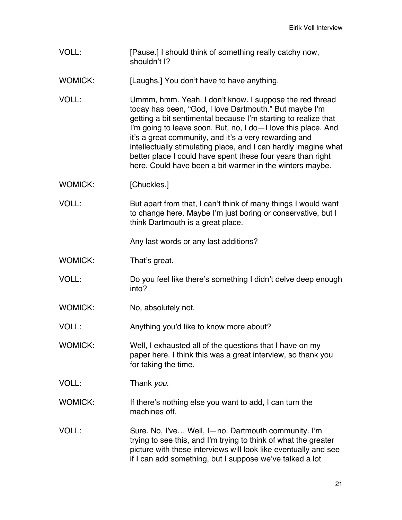VOLL: [Pause.] I should think of something really catchy now, shouldn't I?

WOMICK: [Laughs.] You don't have to have anything.

VOLL: Ummm, hmm. Yeah. I don't know. I suppose the red thread today has been, "God, I love Dartmouth." But maybe I'm getting a bit sentimental because I'm starting to realize that I'm going to leave soon. But, no, I do—I love this place. And it's a great community, and it's a very rewarding and intellectually stimulating place, and I can hardly imagine what better place I could have spent these four years than right here. Could have been a bit warmer in the winters maybe.

- WOMICK: [Chuckles.]
- VOLL: But apart from that, I can't think of many things I would want to change here. Maybe I'm just boring or conservative, but I think Dartmouth is a great place.

Any last words or any last additions?

- WOMICK: That's great.
- VOLL: Do you feel like there's something I didn't delve deep enough into?
- WOMICK: No, absolutely not.

VOLL: Anything you'd like to know more about?

WOMICK: Well, I exhausted all of the questions that I have on my paper here. I think this was a great interview, so thank you for taking the time.

VOLL: Thank *you*.

WOMICK: If there's nothing else you want to add, I can turn the machines off.

VOLL: Sure. No, I've… Well, I—no. Dartmouth community. I'm trying to see this, and I'm trying to think of what the greater picture with these interviews will look like eventually and see if I can add something, but I suppose we've talked a lot